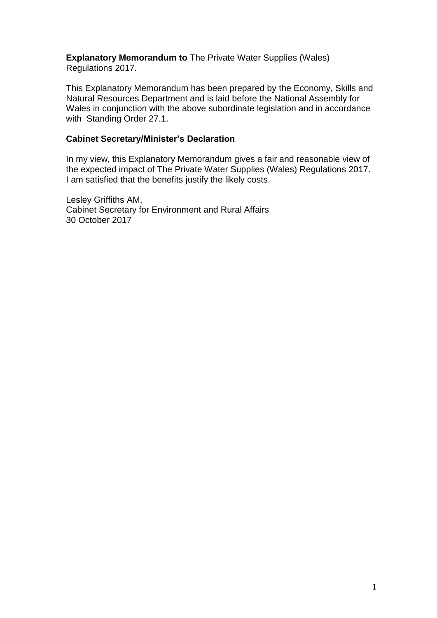**Explanatory Memorandum to** The Private Water Supplies (Wales) Regulations 2017*.* 

This Explanatory Memorandum has been prepared by the Economy, Skills and Natural Resources Department and is laid before the National Assembly for Wales in conjunction with the above subordinate legislation and in accordance with Standing Order 27.1.

#### **Cabinet Secretary/Minister's Declaration**

In my view, this Explanatory Memorandum gives a fair and reasonable view of the expected impact of The Private Water Supplies (Wales) Regulations 2017. I am satisfied that the benefits justify the likely costs.

Lesley Griffiths AM, Cabinet Secretary for Environment and Rural Affairs 30 October 2017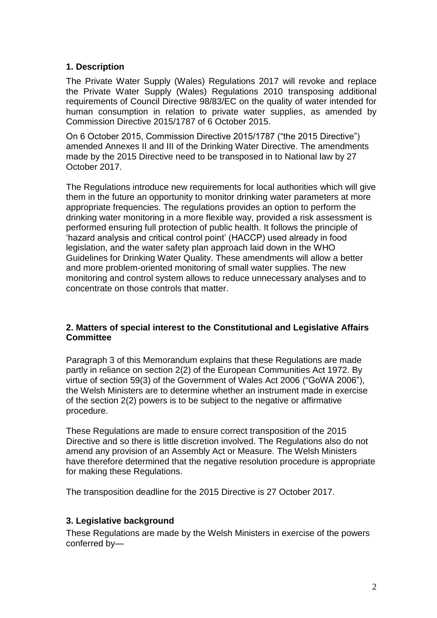## **1. Description**

The Private Water Supply (Wales) Regulations 2017 will revoke and replace the Private Water Supply (Wales) Regulations 2010 transposing additional requirements of Council Directive 98/83/EC on the quality of water intended for human consumption in relation to private water supplies, as amended by Commission Directive 2015/1787 of 6 October 2015.

On 6 October 2015, Commission Directive 2015/1787 ("the 2015 Directive") amended Annexes II and III of the Drinking Water Directive. The amendments made by the 2015 Directive need to be transposed in to National law by 27 October 2017.

The Regulations introduce new requirements for local authorities which will give them in the future an opportunity to monitor drinking water parameters at more appropriate frequencies. The regulations provides an option to perform the drinking water monitoring in a more flexible way, provided a risk assessment is performed ensuring full protection of public health. It follows the principle of 'hazard analysis and critical control point' (HACCP) used already in food legislation, and the water safety plan approach laid down in the WHO Guidelines for Drinking Water Quality. These amendments will allow a better and more problem-oriented monitoring of small water supplies. The new monitoring and control system allows to reduce unnecessary analyses and to concentrate on those controls that matter.

#### **2. Matters of special interest to the Constitutional and Legislative Affairs Committee**

Paragraph 3 of this Memorandum explains that these Regulations are made partly in reliance on section 2(2) of the European Communities Act 1972. By virtue of section 59(3) of the Government of Wales Act 2006 ("GoWA 2006"), the Welsh Ministers are to determine whether an instrument made in exercise of the section 2(2) powers is to be subject to the negative or affirmative procedure.

These Regulations are made to ensure correct transposition of the 2015 Directive and so there is little discretion involved. The Regulations also do not amend any provision of an Assembly Act or Measure. The Welsh Ministers have therefore determined that the negative resolution procedure is appropriate for making these Regulations.

The transposition deadline for the 2015 Directive is 27 October 2017.

#### **3. Legislative background**

These Regulations are made by the Welsh Ministers in exercise of the powers conferred by—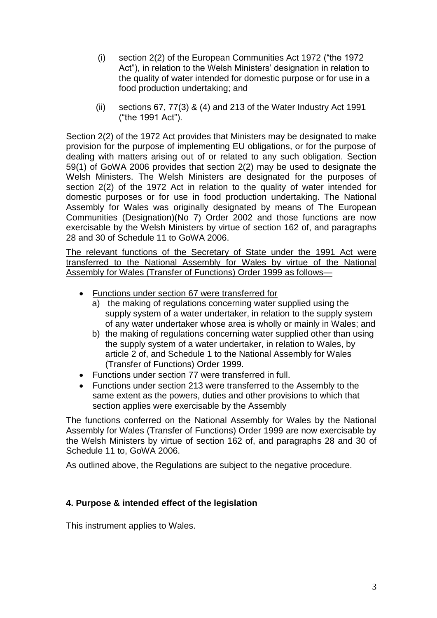- (i) section 2(2) of the European Communities Act 1972 ("the 1972 Act"), in relation to the Welsh Ministers' designation in relation to the quality of water intended for domestic purpose or for use in a food production undertaking; and
- (ii) sections 67, 77(3) & (4) and 213 of the Water Industry Act 1991 ("the 1991 Act").

Section 2(2) of the 1972 Act provides that Ministers may be designated to make provision for the purpose of implementing EU obligations, or for the purpose of dealing with matters arising out of or related to any such obligation. Section 59(1) of GoWA 2006 provides that section 2(2) may be used to designate the Welsh Ministers. The Welsh Ministers are designated for the purposes of section 2(2) of the 1972 Act in relation to the quality of water intended for domestic purposes or for use in food production undertaking. The National Assembly for Wales was originally designated by means of The European Communities (Designation)(No 7) Order 2002 and those functions are now exercisable by the Welsh Ministers by virtue of section 162 of, and paragraphs 28 and 30 of Schedule 11 to GoWA 2006.

The relevant functions of the Secretary of State under the 1991 Act were transferred to the National Assembly for Wales by virtue of the National Assembly for Wales (Transfer of Functions) Order 1999 as follows—

- Functions under section 67 were transferred for
	- a) the making of regulations concerning water supplied using the supply system of a water undertaker, in relation to the supply system of any water undertaker whose area is wholly or mainly in Wales; and
	- b) the making of regulations concerning water supplied other than using the supply system of a water undertaker, in relation to Wales, by article 2 of, and Schedule 1 to the National Assembly for Wales (Transfer of Functions) Order 1999.
- Functions under section 77 were transferred in full.
- Functions under section 213 were transferred to the Assembly to the same extent as the powers, duties and other provisions to which that section applies were exercisable by the Assembly

The functions conferred on the National Assembly for Wales by the National Assembly for Wales (Transfer of Functions) Order 1999 are now exercisable by the Welsh Ministers by virtue of section 162 of, and paragraphs 28 and 30 of Schedule 11 to, GoWA 2006.

As outlined above, the Regulations are subject to the negative procedure.

## **4. Purpose & intended effect of the legislation**

This instrument applies to Wales.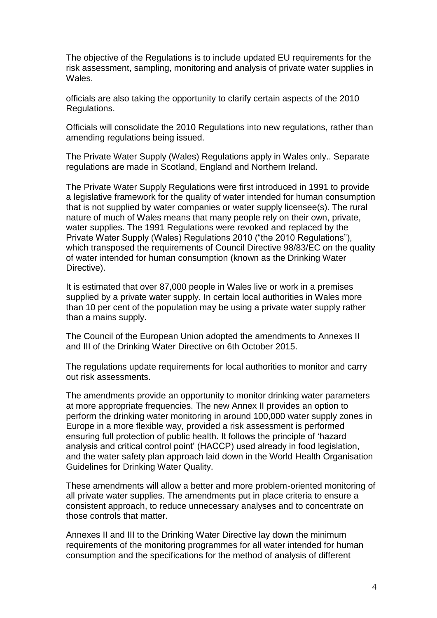The objective of the Regulations is to include updated EU requirements for the risk assessment, sampling, monitoring and analysis of private water supplies in Wales.

officials are also taking the opportunity to clarify certain aspects of the 2010 Regulations.

Officials will consolidate the 2010 Regulations into new regulations, rather than amending regulations being issued.

The Private Water Supply (Wales) Regulations apply in Wales only.. Separate regulations are made in Scotland, England and Northern Ireland.

The Private Water Supply Regulations were first introduced in 1991 to provide a legislative framework for the quality of water intended for human consumption that is not supplied by water companies or water supply licensee(s). The rural nature of much of Wales means that many people rely on their own, private, water supplies. The 1991 Regulations were revoked and replaced by the Private Water Supply (Wales) Regulations 2010 ("the 2010 Regulations"), which transposed the requirements of Council Directive 98/83/EC on the quality of water intended for human consumption (known as the Drinking Water Directive).

It is estimated that over 87,000 people in Wales live or work in a premises supplied by a private water supply. In certain local authorities in Wales more than 10 per cent of the population may be using a private water supply rather than a mains supply.

The Council of the European Union adopted the amendments to Annexes II and III of the Drinking Water Directive on 6th October 2015.

The regulations update requirements for local authorities to monitor and carry out risk assessments.

The amendments provide an opportunity to monitor drinking water parameters at more appropriate frequencies. The new Annex II provides an option to perform the drinking water monitoring in around 100,000 water supply zones in Europe in a more flexible way, provided a risk assessment is performed ensuring full protection of public health. It follows the principle of 'hazard analysis and critical control point' (HACCP) used already in food legislation, and the water safety plan approach laid down in the World Health Organisation Guidelines for Drinking Water Quality.

These amendments will allow a better and more problem-oriented monitoring of all private water supplies. The amendments put in place criteria to ensure a consistent approach, to reduce unnecessary analyses and to concentrate on those controls that matter.

Annexes II and III to the Drinking Water Directive lay down the minimum requirements of the monitoring programmes for all water intended for human consumption and the specifications for the method of analysis of different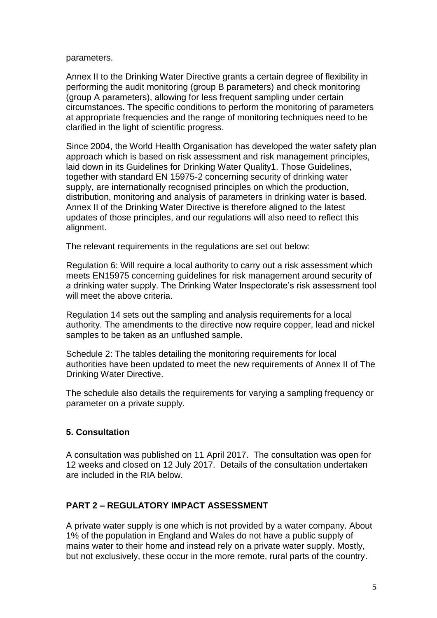parameters.

Annex II to the Drinking Water Directive grants a certain degree of flexibility in performing the audit monitoring (group B parameters) and check monitoring (group A parameters), allowing for less frequent sampling under certain circumstances. The specific conditions to perform the monitoring of parameters at appropriate frequencies and the range of monitoring techniques need to be clarified in the light of scientific progress.

Since 2004, the World Health Organisation has developed the water safety plan approach which is based on risk assessment and risk management principles, laid down in its Guidelines for Drinking Water Quality1. Those Guidelines, together with standard EN 15975-2 concerning security of drinking water supply, are internationally recognised principles on which the production, distribution, monitoring and analysis of parameters in drinking water is based. Annex II of the Drinking Water Directive is therefore aligned to the latest updates of those principles, and our regulations will also need to reflect this alignment.

The relevant requirements in the regulations are set out below:

Regulation 6: Will require a local authority to carry out a risk assessment which meets EN15975 concerning guidelines for risk management around security of a drinking water supply. The Drinking Water Inspectorate's risk assessment tool will meet the above criteria.

Regulation 14 sets out the sampling and analysis requirements for a local authority. The amendments to the directive now require copper, lead and nickel samples to be taken as an unflushed sample.

Schedule 2: The tables detailing the monitoring requirements for local authorities have been updated to meet the new requirements of Annex II of The Drinking Water Directive.

The schedule also details the requirements for varying a sampling frequency or parameter on a private supply.

## **5. Consultation**

A consultation was published on 11 April 2017. The consultation was open for 12 weeks and closed on 12 July 2017. Details of the consultation undertaken are included in the RIA below.

## **PART 2 – REGULATORY IMPACT ASSESSMENT**

A private water supply is one which is not provided by a water company. About 1% of the population in England and Wales do not have a public supply of mains water to their home and instead rely on a private water supply. Mostly, but not exclusively, these occur in the more remote, rural parts of the country.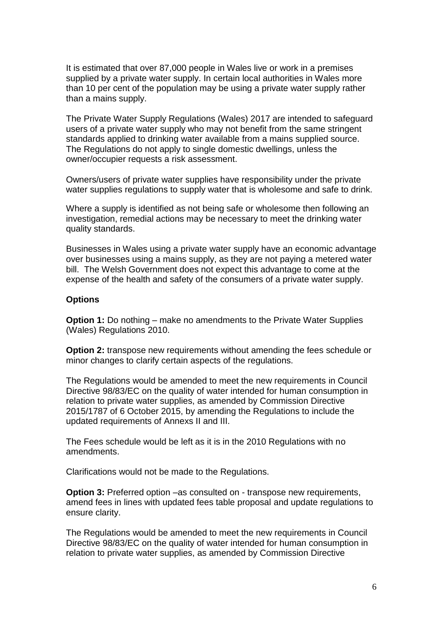It is estimated that over 87,000 people in Wales live or work in a premises supplied by a private water supply. In certain local authorities in Wales more than 10 per cent of the population may be using a private water supply rather than a mains supply.

The Private Water Supply Regulations (Wales) 2017 are intended to safeguard users of a private water supply who may not benefit from the same stringent standards applied to drinking water available from a mains supplied source. The Regulations do not apply to single domestic dwellings, unless the owner/occupier requests a risk assessment.

Owners/users of private water supplies have responsibility under the private water supplies regulations to supply water that is wholesome and safe to drink.

Where a supply is identified as not being safe or wholesome then following an investigation, remedial actions may be necessary to meet the drinking water quality standards.

Businesses in Wales using a private water supply have an economic advantage over businesses using a mains supply, as they are not paying a metered water bill. The Welsh Government does not expect this advantage to come at the expense of the health and safety of the consumers of a private water supply.

#### **Options**

**Option 1:** Do nothing – make no amendments to the Private Water Supplies (Wales) Regulations 2010.

**Option 2:** transpose new requirements without amending the fees schedule or minor changes to clarify certain aspects of the regulations.

The Regulations would be amended to meet the new requirements in Council Directive 98/83/EC on the quality of water intended for human consumption in relation to private water supplies, as amended by Commission Directive 2015/1787 of 6 October 2015, by amending the Regulations to include the updated requirements of Annexs II and III.

The Fees schedule would be left as it is in the 2010 Regulations with no amendments.

Clarifications would not be made to the Regulations.

**Option 3:** Preferred option –as consulted on - transpose new requirements, amend fees in lines with updated fees table proposal and update regulations to ensure clarity.

The Regulations would be amended to meet the new requirements in Council Directive 98/83/EC on the quality of water intended for human consumption in relation to private water supplies, as amended by Commission Directive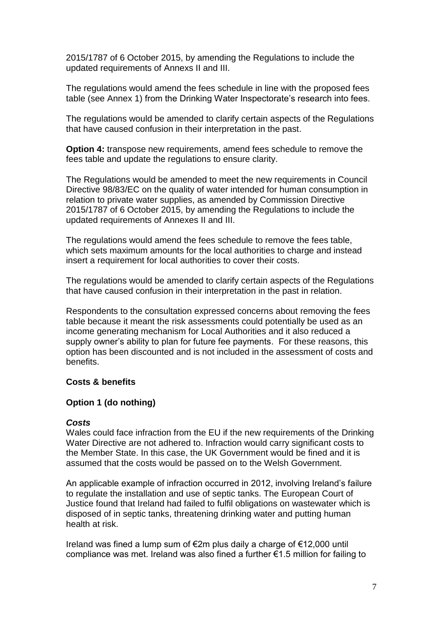2015/1787 of 6 October 2015, by amending the Regulations to include the updated requirements of Annexs II and III.

The regulations would amend the fees schedule in line with the proposed fees table (see Annex 1) from the Drinking Water Inspectorate's research into fees.

The regulations would be amended to clarify certain aspects of the Regulations that have caused confusion in their interpretation in the past.

**Option 4:** transpose new requirements, amend fees schedule to remove the fees table and update the regulations to ensure clarity.

The Regulations would be amended to meet the new requirements in Council Directive 98/83/EC on the quality of water intended for human consumption in relation to private water supplies, as amended by Commission Directive 2015/1787 of 6 October 2015, by amending the Regulations to include the updated requirements of Annexes II and III.

The regulations would amend the fees schedule to remove the fees table, which sets maximum amounts for the local authorities to charge and instead insert a requirement for local authorities to cover their costs.

The regulations would be amended to clarify certain aspects of the Regulations that have caused confusion in their interpretation in the past in relation.

Respondents to the consultation expressed concerns about removing the fees table because it meant the risk assessments could potentially be used as an income generating mechanism for Local Authorities and it also reduced a supply owner's ability to plan for future fee payments. For these reasons, this option has been discounted and is not included in the assessment of costs and benefits.

#### **Costs & benefits**

#### **Option 1 (do nothing)**

#### *Costs*

Wales could face infraction from the EU if the new requirements of the Drinking Water Directive are not adhered to. Infraction would carry significant costs to the Member State. In this case, the UK Government would be fined and it is assumed that the costs would be passed on to the Welsh Government.

An applicable example of infraction occurred in 2012, involving Ireland's failure to regulate the installation and use of septic tanks. The European Court of Justice found that Ireland had failed to fulfil obligations on wastewater which is disposed of in septic tanks, threatening drinking water and putting human health at risk.

Ireland was fined a lump sum of €2m plus daily a charge of €12,000 until compliance was met. Ireland was also fined a further €1.5 million for failing to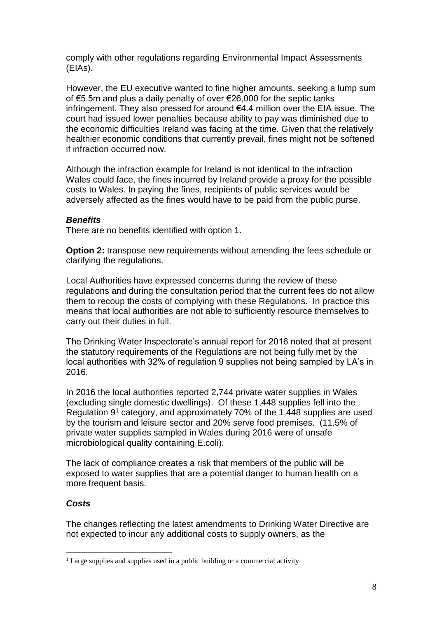comply with other regulations regarding Environmental Impact Assessments (EIAs).

However, the EU executive wanted to fine higher amounts, seeking a lump sum of €5.5m and plus a daily penalty of over €26,000 for the septic tanks infringement. They also pressed for around €4.4 million over the EIA issue. The court had issued lower penalties because ability to pay was diminished due to the economic difficulties Ireland was facing at the time. Given that the relatively healthier economic conditions that currently prevail, fines might not be softened if infraction occurred now.

Although the infraction example for Ireland is not identical to the infraction Wales could face, the fines incurred by Ireland provide a proxy for the possible costs to Wales. In paying the fines, recipients of public services would be adversely affected as the fines would have to be paid from the public purse.

## *Benefits*

There are no benefits identified with option 1.

**Option 2:** transpose new requirements without amending the fees schedule or clarifying the regulations.

Local Authorities have expressed concerns during the review of these regulations and during the consultation period that the current fees do not allow them to recoup the costs of complying with these Regulations. In practice this means that local authorities are not able to sufficiently resource themselves to carry out their duties in full.

The Drinking Water Inspectorate's annual report for 2016 noted that at present the statutory requirements of the Regulations are not being fully met by the local authorities with 32% of regulation 9 supplies not being sampled by LA's in 2016.

In 2016 the local authorities reported 2,744 private water supplies in Wales (excluding single domestic dwellings). Of these 1,448 supplies fell into the Regulation 9<sup>1</sup> category, and approximately 70% of the 1,448 supplies are used by the tourism and leisure sector and 20% serve food premises. (11.5% of private water supplies sampled in Wales during 2016 were of unsafe microbiological quality containing E.coli).

The lack of compliance creates a risk that members of the public will be exposed to water supplies that are a potential danger to human health on a more frequent basis.

## *Costs*

1

The changes reflecting the latest amendments to Drinking Water Directive are not expected to incur any additional costs to supply owners, as the

 $<sup>1</sup>$  Large supplies and supplies used in a public building or a commercial activity</sup>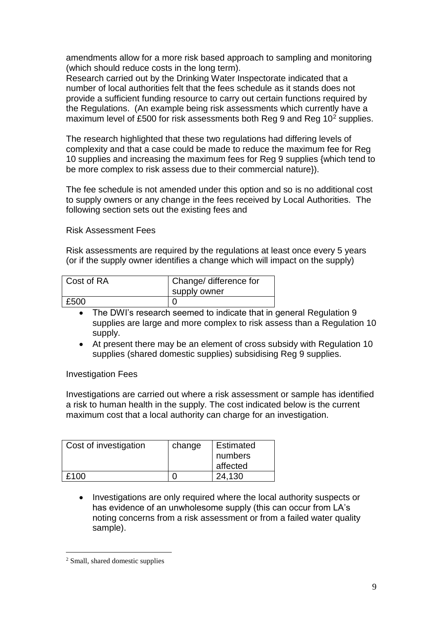amendments allow for a more risk based approach to sampling and monitoring (which should reduce costs in the long term).

Research carried out by the Drinking Water Inspectorate indicated that a number of local authorities felt that the fees schedule as it stands does not provide a sufficient funding resource to carry out certain functions required by the Regulations. (An example being risk assessments which currently have a maximum level of £500 for risk assessments both Reg 9 and Reg 10<sup>2</sup> supplies.

The research highlighted that these two regulations had differing levels of complexity and that a case could be made to reduce the maximum fee for Reg 10 supplies and increasing the maximum fees for Reg 9 supplies {which tend to be more complex to risk assess due to their commercial nature}).

The fee schedule is not amended under this option and so is no additional cost to supply owners or any change in the fees received by Local Authorities. The following section sets out the existing fees and

Risk Assessment Fees

Risk assessments are required by the regulations at least once every 5 years (or if the supply owner identifies a change which will impact on the supply)

| Cost of RA | Change/ difference for<br>supply owner |
|------------|----------------------------------------|
| £500       |                                        |

- The DWI's research seemed to indicate that in general Regulation 9 supplies are large and more complex to risk assess than a Regulation 10 supply.
- At present there may be an element of cross subsidy with Regulation 10 supplies (shared domestic supplies) subsidising Reg 9 supplies.

Investigation Fees

Investigations are carried out where a risk assessment or sample has identified a risk to human health in the supply. The cost indicated below is the current maximum cost that a local authority can charge for an investigation.

| Cost of investigation | change | <b>Estimated</b><br>numbers |
|-----------------------|--------|-----------------------------|
|                       |        | affected                    |
| £100                  |        | 24.130                      |

• Investigations are only required where the local authority suspects or has evidence of an unwholesome supply (this can occur from LA's noting concerns from a risk assessment or from a failed water quality sample).

1

<sup>2</sup> Small, shared domestic supplies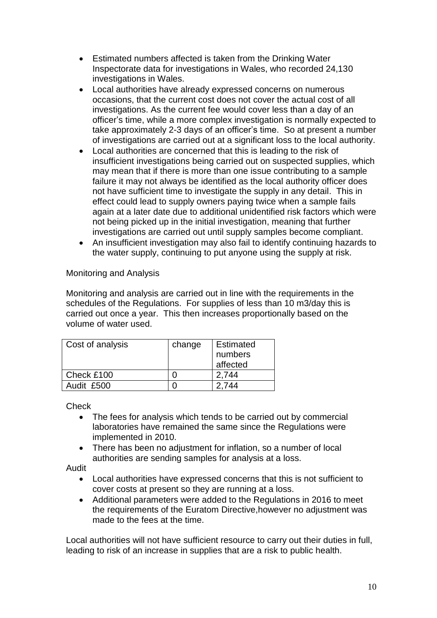- Estimated numbers affected is taken from the Drinking Water Inspectorate data for investigations in Wales, who recorded 24,130 investigations in Wales.
- Local authorities have already expressed concerns on numerous occasions, that the current cost does not cover the actual cost of all investigations. As the current fee would cover less than a day of an officer's time, while a more complex investigation is normally expected to take approximately 2-3 days of an officer's time. So at present a number of investigations are carried out at a significant loss to the local authority.
- Local authorities are concerned that this is leading to the risk of insufficient investigations being carried out on suspected supplies, which may mean that if there is more than one issue contributing to a sample failure it may not always be identified as the local authority officer does not have sufficient time to investigate the supply in any detail. This in effect could lead to supply owners paying twice when a sample fails again at a later date due to additional unidentified risk factors which were not being picked up in the initial investigation, meaning that further investigations are carried out until supply samples become compliant.
- An insufficient investigation may also fail to identify continuing hazards to the water supply, continuing to put anyone using the supply at risk.

## Monitoring and Analysis

Monitoring and analysis are carried out in line with the requirements in the schedules of the Regulations. For supplies of less than 10 m3/day this is carried out once a year. This then increases proportionally based on the volume of water used.

| Cost of analysis | change | <b>Estimated</b><br>numbers<br>affected |
|------------------|--------|-----------------------------------------|
| Check £100       |        | 2.744                                   |
| Audit £500       |        | 2.744                                   |

**Check** 

- The fees for analysis which tends to be carried out by commercial laboratories have remained the same since the Regulations were implemented in 2010.
- There has been no adjustment for inflation, so a number of local authorities are sending samples for analysis at a loss.

Audit

- Local authorities have expressed concerns that this is not sufficient to cover costs at present so they are running at a loss.
- Additional parameters were added to the Regulations in 2016 to meet the requirements of the Euratom Directive,however no adjustment was made to the fees at the time.

Local authorities will not have sufficient resource to carry out their duties in full, leading to risk of an increase in supplies that are a risk to public health.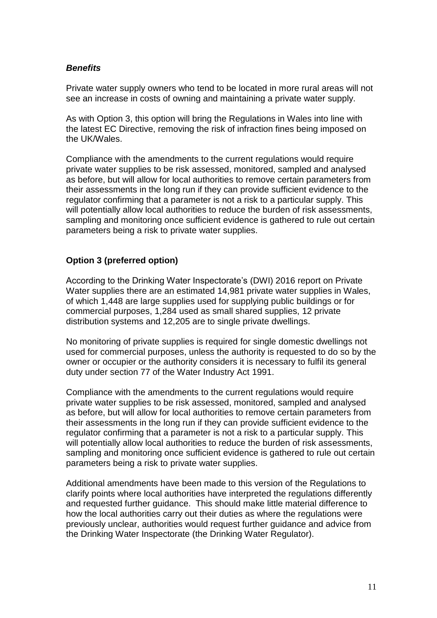#### *Benefits*

Private water supply owners who tend to be located in more rural areas will not see an increase in costs of owning and maintaining a private water supply.

As with Option 3, this option will bring the Regulations in Wales into line with the latest EC Directive, removing the risk of infraction fines being imposed on the UK/Wales.

Compliance with the amendments to the current regulations would require private water supplies to be risk assessed, monitored, sampled and analysed as before, but will allow for local authorities to remove certain parameters from their assessments in the long run if they can provide sufficient evidence to the regulator confirming that a parameter is not a risk to a particular supply. This will potentially allow local authorities to reduce the burden of risk assessments, sampling and monitoring once sufficient evidence is gathered to rule out certain parameters being a risk to private water supplies.

## **Option 3 (preferred option)**

According to the Drinking Water Inspectorate's (DWI) 2016 report on Private Water supplies there are an estimated 14,981 private water supplies in Wales, of which 1,448 are large supplies used for supplying public buildings or for commercial purposes, 1,284 used as small shared supplies, 12 private distribution systems and 12,205 are to single private dwellings.

No monitoring of private supplies is required for single domestic dwellings not used for commercial purposes, unless the authority is requested to do so by the owner or occupier or the authority considers it is necessary to fulfil its general duty under section 77 of the Water Industry Act 1991.

Compliance with the amendments to the current regulations would require private water supplies to be risk assessed, monitored, sampled and analysed as before, but will allow for local authorities to remove certain parameters from their assessments in the long run if they can provide sufficient evidence to the regulator confirming that a parameter is not a risk to a particular supply. This will potentially allow local authorities to reduce the burden of risk assessments, sampling and monitoring once sufficient evidence is gathered to rule out certain parameters being a risk to private water supplies.

Additional amendments have been made to this version of the Regulations to clarify points where local authorities have interpreted the regulations differently and requested further guidance. This should make little material difference to how the local authorities carry out their duties as where the regulations were previously unclear, authorities would request further guidance and advice from the Drinking Water Inspectorate (the Drinking Water Regulator).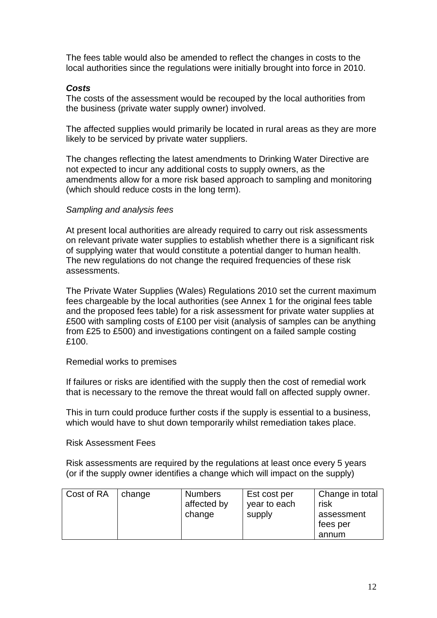The fees table would also be amended to reflect the changes in costs to the local authorities since the regulations were initially brought into force in 2010.

#### *Costs*

The costs of the assessment would be recouped by the local authorities from the business (private water supply owner) involved.

The affected supplies would primarily be located in rural areas as they are more likely to be serviced by private water suppliers.

The changes reflecting the latest amendments to Drinking Water Directive are not expected to incur any additional costs to supply owners, as the amendments allow for a more risk based approach to sampling and monitoring (which should reduce costs in the long term).

#### *Sampling and analysis fees*

At present local authorities are already required to carry out risk assessments on relevant private water supplies to establish whether there is a significant risk of supplying water that would constitute a potential danger to human health. The new regulations do not change the required frequencies of these risk assessments.

The Private Water Supplies (Wales) Regulations 2010 set the current maximum fees chargeable by the local authorities (see Annex 1 for the original fees table and the proposed fees table) for a risk assessment for private water supplies at £500 with sampling costs of £100 per visit (analysis of samples can be anything from £25 to £500) and investigations contingent on a failed sample costing £100.

#### Remedial works to premises

If failures or risks are identified with the supply then the cost of remedial work that is necessary to the remove the threat would fall on affected supply owner.

This in turn could produce further costs if the supply is essential to a business, which would have to shut down temporarily whilst remediation takes place.

#### Risk Assessment Fees

Risk assessments are required by the regulations at least once every 5 years (or if the supply owner identifies a change which will impact on the supply)

| Cost of RA<br>change | <b>Numbers</b><br>affected by<br>change | Est cost per<br>year to each<br>supply | Change in total<br>risk<br>assessment<br>fees per<br>annum |
|----------------------|-----------------------------------------|----------------------------------------|------------------------------------------------------------|
|----------------------|-----------------------------------------|----------------------------------------|------------------------------------------------------------|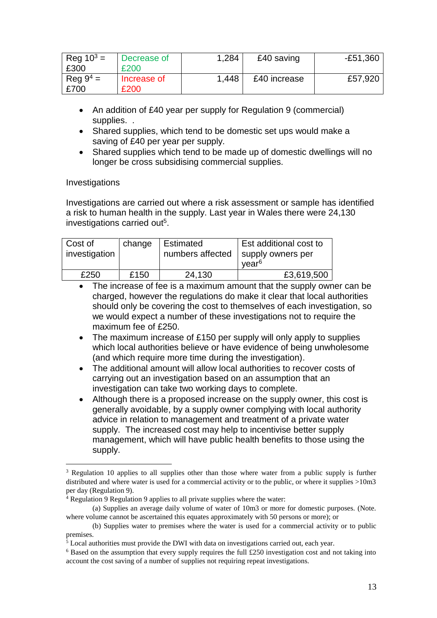| Reg $10^3$ =       | Decrease of | 1,284 | £40 saving   | -£51,360 |
|--------------------|-------------|-------|--------------|----------|
| £300               | £200        |       |              |          |
| $\text{Re}q 9^4 =$ | Increase of | 1.448 | £40 increase | £57,920  |
| £700               | £200        |       |              |          |

- An addition of £40 year per supply for Regulation 9 (commercial) supplies...
- Shared supplies, which tend to be domestic set ups would make a saving of £40 per year per supply.
- Shared supplies which tend to be made up of domestic dwellings will no longer be cross subsidising commercial supplies.

#### Investigations

1

Investigations are carried out where a risk assessment or sample has identified a risk to human health in the supply. Last year in Wales there were 24,130 investigations carried out<sup>5</sup>.

| Cost of<br>investigation | change | Estimated<br>numbers affected | Est additional cost to<br>supply owners per<br>vear <sup>6</sup> |
|--------------------------|--------|-------------------------------|------------------------------------------------------------------|
| £250                     | £150   | 24,130                        | £3,619,500                                                       |

- The increase of fee is a maximum amount that the supply owner can be charged, however the regulations do make it clear that local authorities should only be covering the cost to themselves of each investigation, so we would expect a number of these investigations not to require the maximum fee of £250.
- The maximum increase of £150 per supply will only apply to supplies which local authorities believe or have evidence of being unwholesome (and which require more time during the investigation).
- The additional amount will allow local authorities to recover costs of carrying out an investigation based on an assumption that an investigation can take two working days to complete.
- Although there is a proposed increase on the supply owner, this cost is generally avoidable, by a supply owner complying with local authority advice in relation to management and treatment of a private water supply. The increased cost may help to incentivise better supply management, which will have public health benefits to those using the supply.

<sup>&</sup>lt;sup>3</sup> Regulation 10 applies to all supplies other than those where water from a public supply is further distributed and where water is used for a commercial activity or to the public, or where it supplies >10m3 per day (Regulation 9).

 $4$  Regulation 9 Regulation 9 applies to all private supplies where the water:

<sup>(</sup>a) Supplies an average daily volume of water of 10m3 or more for domestic purposes. (Note. where volume cannot be ascertained this equates approximately with 50 persons or more); or

<sup>(</sup>b) Supplies water to premises where the water is used for a commercial activity or to public premises.

 $5$  Local authorities must provide the DWI with data on investigations carried out, each year.

 $6$  Based on the assumption that every supply requires the full £250 investigation cost and not taking into account the cost saving of a number of supplies not requiring repeat investigations.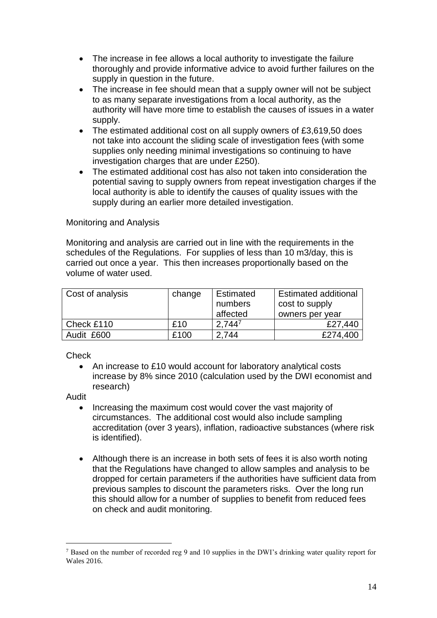- The increase in fee allows a local authority to investigate the failure thoroughly and provide informative advice to avoid further failures on the supply in question in the future.
- The increase in fee should mean that a supply owner will not be subject to as many separate investigations from a local authority, as the authority will have more time to establish the causes of issues in a water supply.
- The estimated additional cost on all supply owners of £3,619,50 does not take into account the sliding scale of investigation fees (with some supplies only needing minimal investigations so continuing to have investigation charges that are under £250).
- The estimated additional cost has also not taken into consideration the potential saving to supply owners from repeat investigation charges if the local authority is able to identify the causes of quality issues with the supply during an earlier more detailed investigation.

#### Monitoring and Analysis

Monitoring and analysis are carried out in line with the requirements in the schedules of the Regulations. For supplies of less than 10 m3/day, this is carried out once a year. This then increases proportionally based on the volume of water used.

| Cost of analysis | change | Estimated<br>numbers<br>affected | <b>Estimated additional</b><br>cost to supply<br>owners per year |
|------------------|--------|----------------------------------|------------------------------------------------------------------|
| Check £110       | £10    | $2.744^{7}$                      | £27,440                                                          |
| Audit £600       | £100   | 2.744                            | £274,400                                                         |

**Check** 

 An increase to £10 would account for laboratory analytical costs increase by 8% since 2010 (calculation used by the DWI economist and research)

Audit

1

- Increasing the maximum cost would cover the vast majority of circumstances. The additional cost would also include sampling accreditation (over 3 years), inflation, radioactive substances (where risk is identified).
- Although there is an increase in both sets of fees it is also worth noting that the Regulations have changed to allow samples and analysis to be dropped for certain parameters if the authorities have sufficient data from previous samples to discount the parameters risks. Over the long run this should allow for a number of supplies to benefit from reduced fees on check and audit monitoring.

<sup>&</sup>lt;sup>7</sup> Based on the number of recorded reg 9 and 10 supplies in the DWI's drinking water quality report for Wales 2016.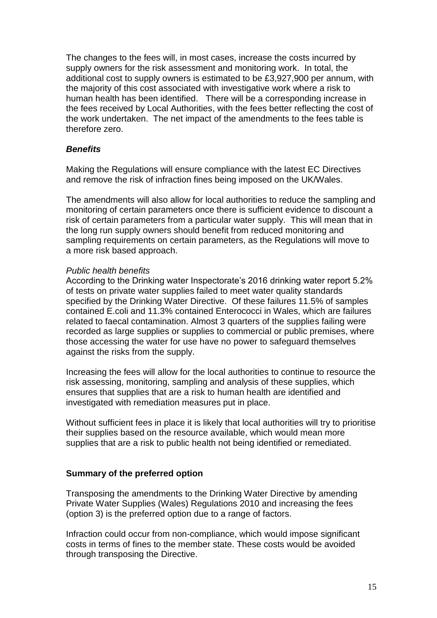The changes to the fees will, in most cases, increase the costs incurred by supply owners for the risk assessment and monitoring work. In total, the additional cost to supply owners is estimated to be £3,927,900 per annum, with the majority of this cost associated with investigative work where a risk to human health has been identified. There will be a corresponding increase in the fees received by Local Authorities, with the fees better reflecting the cost of the work undertaken. The net impact of the amendments to the fees table is therefore zero.

## *Benefits*

Making the Regulations will ensure compliance with the latest EC Directives and remove the risk of infraction fines being imposed on the UK/Wales.

The amendments will also allow for local authorities to reduce the sampling and monitoring of certain parameters once there is sufficient evidence to discount a risk of certain parameters from a particular water supply. This will mean that in the long run supply owners should benefit from reduced monitoring and sampling requirements on certain parameters, as the Regulations will move to a more risk based approach.

#### *Public health benefits*

According to the Drinking water Inspectorate's 2016 drinking water report 5.2% of tests on private water supplies failed to meet water quality standards specified by the Drinking Water Directive. Of these failures 11.5% of samples contained E.coli and 11.3% contained Enterococci in Wales, which are failures related to faecal contamination. Almost 3 quarters of the supplies failing were recorded as large supplies or supplies to commercial or public premises, where those accessing the water for use have no power to safeguard themselves against the risks from the supply.

Increasing the fees will allow for the local authorities to continue to resource the risk assessing, monitoring, sampling and analysis of these supplies, which ensures that supplies that are a risk to human health are identified and investigated with remediation measures put in place.

Without sufficient fees in place it is likely that local authorities will try to prioritise their supplies based on the resource available, which would mean more supplies that are a risk to public health not being identified or remediated.

#### **Summary of the preferred option**

Transposing the amendments to the Drinking Water Directive by amending Private Water Supplies (Wales) Regulations 2010 and increasing the fees (option 3) is the preferred option due to a range of factors.

Infraction could occur from non-compliance, which would impose significant costs in terms of fines to the member state. These costs would be avoided through transposing the Directive.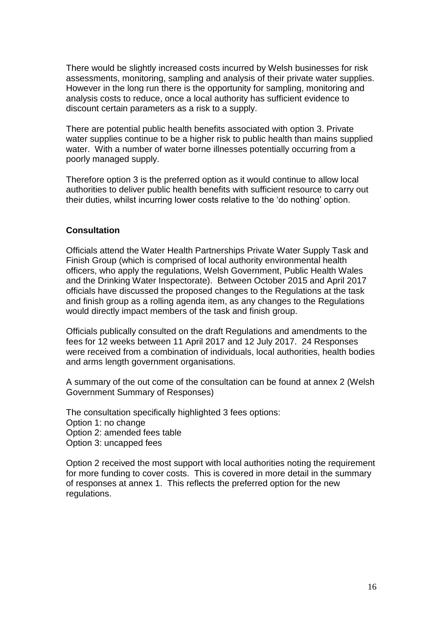There would be slightly increased costs incurred by Welsh businesses for risk assessments, monitoring, sampling and analysis of their private water supplies. However in the long run there is the opportunity for sampling, monitoring and analysis costs to reduce, once a local authority has sufficient evidence to discount certain parameters as a risk to a supply.

There are potential public health benefits associated with option 3. Private water supplies continue to be a higher risk to public health than mains supplied water. With a number of water borne illnesses potentially occurring from a poorly managed supply.

Therefore option 3 is the preferred option as it would continue to allow local authorities to deliver public health benefits with sufficient resource to carry out their duties, whilst incurring lower costs relative to the 'do nothing' option.

#### **Consultation**

Officials attend the Water Health Partnerships Private Water Supply Task and Finish Group (which is comprised of local authority environmental health officers, who apply the regulations, Welsh Government, Public Health Wales and the Drinking Water Inspectorate). Between October 2015 and April 2017 officials have discussed the proposed changes to the Regulations at the task and finish group as a rolling agenda item, as any changes to the Regulations would directly impact members of the task and finish group.

Officials publically consulted on the draft Regulations and amendments to the fees for 12 weeks between 11 April 2017 and 12 July 2017. 24 Responses were received from a combination of individuals, local authorities, health bodies and arms length government organisations.

A summary of the out come of the consultation can be found at annex 2 (Welsh Government Summary of Responses)

The consultation specifically highlighted 3 fees options: Option 1: no change Option 2: amended fees table Option 3: uncapped fees

Option 2 received the most support with local authorities noting the requirement for more funding to cover costs. This is covered in more detail in the summary of responses at annex 1. This reflects the preferred option for the new regulations.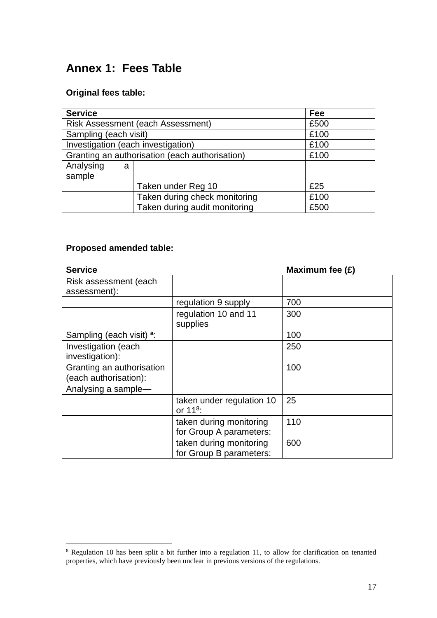# **Annex 1: Fees Table**

## **Original fees table:**

| <b>Service</b>                                 | Fee                                      |      |
|------------------------------------------------|------------------------------------------|------|
|                                                | <b>Risk Assessment (each Assessment)</b> |      |
| Sampling (each visit)                          |                                          | £100 |
| Investigation (each investigation)             |                                          | £100 |
| Granting an authorisation (each authorisation) |                                          | £100 |
| Analysing<br>a                                 |                                          |      |
| sample                                         |                                          |      |
|                                                | Taken under Reg 10                       | £25  |
|                                                | Taken during check monitoring            | £100 |
|                                                | Taken during audit monitoring            | £500 |

## **Proposed amended table:**

1

| <b>Service</b>                                     |                                                    | Maximum fee $(E)$ |
|----------------------------------------------------|----------------------------------------------------|-------------------|
| Risk assessment (each<br>assessment):              |                                                    |                   |
|                                                    |                                                    |                   |
|                                                    | regulation 9 supply                                | 700               |
|                                                    | regulation 10 and 11<br>supplies                   | 300               |
| Sampling (each visit) <sup>a</sup> :               |                                                    | 100               |
| Investigation (each<br>investigation):             |                                                    | 250               |
| Granting an authorisation<br>(each authorisation): |                                                    | 100               |
| Analysing a sample-                                |                                                    |                   |
|                                                    | taken under regulation 10<br>or $11^8$ :           | 25                |
|                                                    | taken during monitoring<br>for Group A parameters: | 110               |
|                                                    | taken during monitoring<br>for Group B parameters: | 600               |

 $8$  Regulation 10 has been split a bit further into a regulation 11, to allow for clarification on tenanted properties, which have previously been unclear in previous versions of the regulations.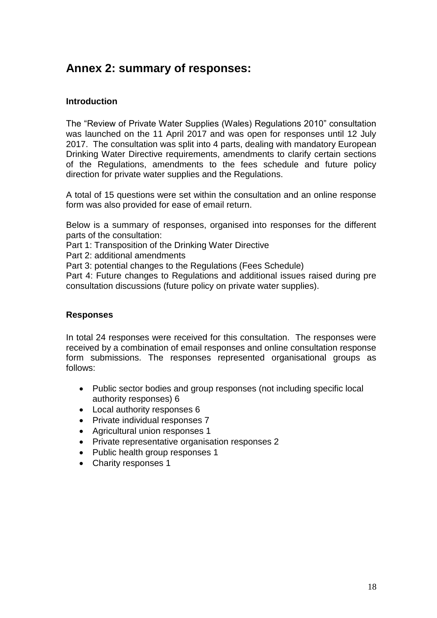## **Annex 2: summary of responses:**

## **Introduction**

The "Review of Private Water Supplies (Wales) Regulations 2010" consultation was launched on the 11 April 2017 and was open for responses until 12 July 2017. The consultation was split into 4 parts, dealing with mandatory European Drinking Water Directive requirements, amendments to clarify certain sections of the Regulations, amendments to the fees schedule and future policy direction for private water supplies and the Regulations.

A total of 15 questions were set within the consultation and an online response form was also provided for ease of email return.

Below is a summary of responses, organised into responses for the different parts of the consultation:

Part 1: Transposition of the Drinking Water Directive

Part 2: additional amendments

Part 3: potential changes to the Regulations (Fees Schedule)

Part 4: Future changes to Regulations and additional issues raised during pre consultation discussions (future policy on private water supplies).

#### **Responses**

In total 24 responses were received for this consultation. The responses were received by a combination of email responses and online consultation response form submissions. The responses represented organisational groups as follows:

- Public sector bodies and group responses (not including specific local authority responses) 6
- Local authority responses 6
- Private individual responses 7
- Agricultural union responses 1
- Private representative organisation responses 2
- Public health group responses 1
- Charity responses 1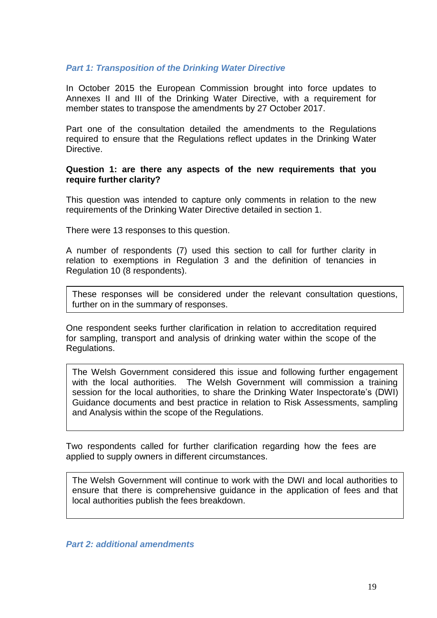#### *Part 1: Transposition of the Drinking Water Directive*

In October 2015 the European Commission brought into force updates to Annexes II and III of the Drinking Water Directive, with a requirement for member states to transpose the amendments by 27 October 2017.

Part one of the consultation detailed the amendments to the Regulations required to ensure that the Regulations reflect updates in the Drinking Water **Directive** 

#### **Question 1: are there any aspects of the new requirements that you require further clarity?**

This question was intended to capture only comments in relation to the new requirements of the Drinking Water Directive detailed in section 1.

There were 13 responses to this question.

A number of respondents (7) used this section to call for further clarity in relation to exemptions in Regulation 3 and the definition of tenancies in Regulation 10 (8 respondents).

These responses will be considered under the relevant consultation questions, further on in the summary of responses.

One respondent seeks further clarification in relation to accreditation required for sampling, transport and analysis of drinking water within the scope of the Regulations.

The Welsh Government considered this issue and following further engagement with the local authorities. The Welsh Government will commission a training session for the local authorities, to share the Drinking Water Inspectorate's (DWI) Guidance documents and best practice in relation to Risk Assessments, sampling and Analysis within the scope of the Regulations.

Two respondents called for further clarification regarding how the fees are applied to supply owners in different circumstances.

The Welsh Government will continue to work with the DWI and local authorities to ensure that there is comprehensive guidance in the application of fees and that local authorities publish the fees breakdown.

*Part 2: additional amendments*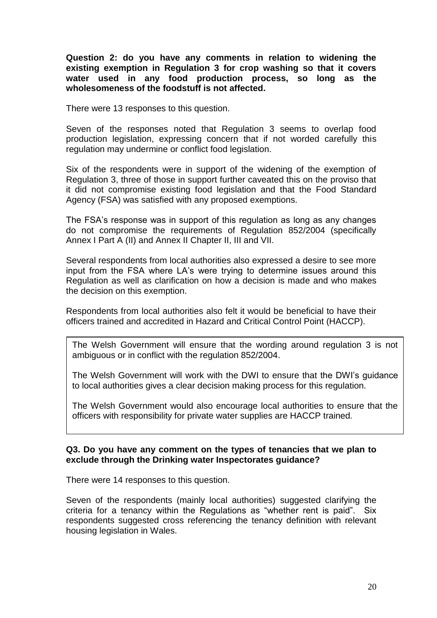**Question 2: do you have any comments in relation to widening the existing exemption in Regulation 3 for crop washing so that it covers water used in any food production process, so long as the wholesomeness of the foodstuff is not affected.**

There were 13 responses to this question.

Seven of the responses noted that Regulation 3 seems to overlap food production legislation, expressing concern that if not worded carefully this regulation may undermine or conflict food legislation.

Six of the respondents were in support of the widening of the exemption of Regulation 3, three of those in support further caveated this on the proviso that it did not compromise existing food legislation and that the Food Standard Agency (FSA) was satisfied with any proposed exemptions.

The FSA's response was in support of this regulation as long as any changes do not compromise the requirements of Regulation 852/2004 (specifically Annex I Part A (II) and Annex II Chapter II, III and VII.

Several respondents from local authorities also expressed a desire to see more input from the FSA where LA's were trying to determine issues around this Regulation as well as clarification on how a decision is made and who makes the decision on this exemption.

Respondents from local authorities also felt it would be beneficial to have their officers trained and accredited in Hazard and Critical Control Point (HACCP).

The Welsh Government will ensure that the wording around regulation 3 is not ambiguous or in conflict with the regulation 852/2004.

The Welsh Government will work with the DWI to ensure that the DWI's guidance to local authorities gives a clear decision making process for this regulation.

The Welsh Government would also encourage local authorities to ensure that the officers with responsibility for private water supplies are HACCP trained*.*

#### **Q3. Do you have any comment on the types of tenancies that we plan to exclude through the Drinking water Inspectorates guidance?**

There were 14 responses to this question.

Seven of the respondents (mainly local authorities) suggested clarifying the criteria for a tenancy within the Regulations as "whether rent is paid". Six respondents suggested cross referencing the tenancy definition with relevant housing legislation in Wales.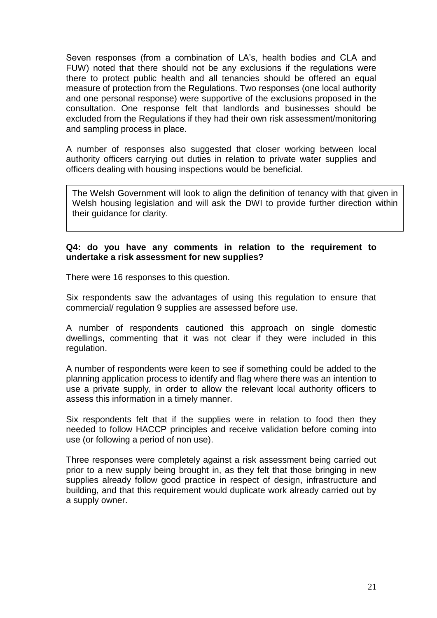Seven responses (from a combination of LA's, health bodies and CLA and FUW) noted that there should not be any exclusions if the regulations were there to protect public health and all tenancies should be offered an equal measure of protection from the Regulations. Two responses (one local authority and one personal response) were supportive of the exclusions proposed in the consultation. One response felt that landlords and businesses should be excluded from the Regulations if they had their own risk assessment/monitoring and sampling process in place.

A number of responses also suggested that closer working between local authority officers carrying out duties in relation to private water supplies and officers dealing with housing inspections would be beneficial.

The Welsh Government will look to align the definition of tenancy with that given in Welsh housing legislation and will ask the DWI to provide further direction within their guidance for clarity.

#### **Q4: do you have any comments in relation to the requirement to undertake a risk assessment for new supplies?**

There were 16 responses to this question.

Six respondents saw the advantages of using this regulation to ensure that commercial/ regulation 9 supplies are assessed before use.

A number of respondents cautioned this approach on single domestic dwellings, commenting that it was not clear if they were included in this regulation.

A number of respondents were keen to see if something could be added to the planning application process to identify and flag where there was an intention to use a private supply, in order to allow the relevant local authority officers to assess this information in a timely manner.

Six respondents felt that if the supplies were in relation to food then they needed to follow HACCP principles and receive validation before coming into use (or following a period of non use).

Three responses were completely against a risk assessment being carried out prior to a new supply being brought in, as they felt that those bringing in new supplies already follow good practice in respect of design, infrastructure and building, and that this requirement would duplicate work already carried out by a supply owner.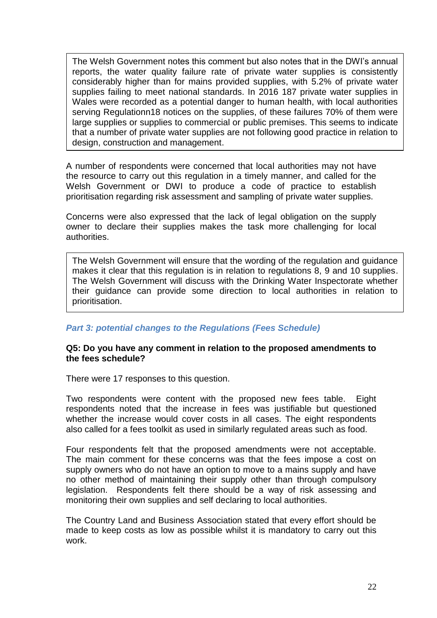The Welsh Government notes this comment but also notes that in the DWI's annual reports, the water quality failure rate of private water supplies is consistently considerably higher than for mains provided supplies, with 5.2% of private water supplies failing to meet national standards. In 2016 187 private water supplies in Wales were recorded as a potential danger to human health, with local authorities serving Regulationn18 notices on the supplies, of these failures 70% of them were large supplies or supplies to commercial or public premises. This seems to indicate that a number of private water supplies are not following good practice in relation to design, construction and management.

A number of respondents were concerned that local authorities may not have the resource to carry out this regulation in a timely manner, and called for the Welsh Government or DWI to produce a code of practice to establish prioritisation regarding risk assessment and sampling of private water supplies.

Concerns were also expressed that the lack of legal obligation on the supply owner to declare their supplies makes the task more challenging for local authorities.

The Welsh Government will ensure that the wording of the regulation and guidance makes it clear that this regulation is in relation to regulations 8, 9 and 10 supplies. The Welsh Government will discuss with the Drinking Water Inspectorate whether their guidance can provide some direction to local authorities in relation to prioritisation.

#### *Part 3: potential changes to the Regulations (Fees Schedule)*

#### **Q5: Do you have any comment in relation to the proposed amendments to the fees schedule?**

There were 17 responses to this question.

Two respondents were content with the proposed new fees table. Eight respondents noted that the increase in fees was justifiable but questioned whether the increase would cover costs in all cases. The eight respondents also called for a fees toolkit as used in similarly regulated areas such as food.

Four respondents felt that the proposed amendments were not acceptable. The main comment for these concerns was that the fees impose a cost on supply owners who do not have an option to move to a mains supply and have no other method of maintaining their supply other than through compulsory legislation. Respondents felt there should be a way of risk assessing and monitoring their own supplies and self declaring to local authorities.

The Country Land and Business Association stated that every effort should be made to keep costs as low as possible whilst it is mandatory to carry out this work.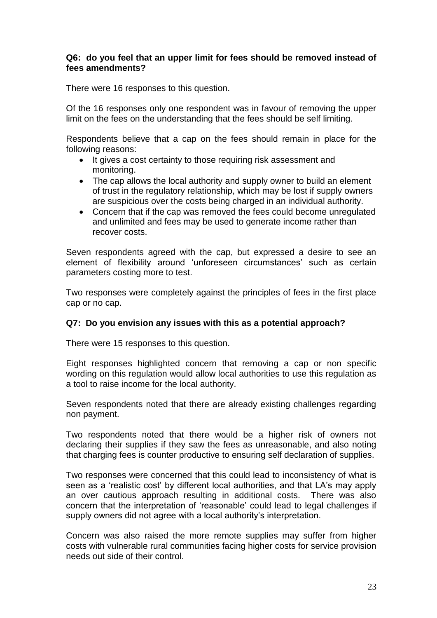#### **Q6: do you feel that an upper limit for fees should be removed instead of fees amendments?**

There were 16 responses to this question.

Of the 16 responses only one respondent was in favour of removing the upper limit on the fees on the understanding that the fees should be self limiting.

Respondents believe that a cap on the fees should remain in place for the following reasons:

- It gives a cost certainty to those requiring risk assessment and monitoring.
- The cap allows the local authority and supply owner to build an element of trust in the regulatory relationship, which may be lost if supply owners are suspicious over the costs being charged in an individual authority.
- Concern that if the cap was removed the fees could become unregulated and unlimited and fees may be used to generate income rather than recover costs.

Seven respondents agreed with the cap, but expressed a desire to see an element of flexibility around 'unforeseen circumstances' such as certain parameters costing more to test.

Two responses were completely against the principles of fees in the first place cap or no cap.

#### **Q7: Do you envision any issues with this as a potential approach?**

There were 15 responses to this question.

Eight responses highlighted concern that removing a cap or non specific wording on this regulation would allow local authorities to use this regulation as a tool to raise income for the local authority.

Seven respondents noted that there are already existing challenges regarding non payment.

Two respondents noted that there would be a higher risk of owners not declaring their supplies if they saw the fees as unreasonable, and also noting that charging fees is counter productive to ensuring self declaration of supplies.

Two responses were concerned that this could lead to inconsistency of what is seen as a 'realistic cost' by different local authorities, and that LA's may apply an over cautious approach resulting in additional costs. There was also concern that the interpretation of 'reasonable' could lead to legal challenges if supply owners did not agree with a local authority's interpretation.

Concern was also raised the more remote supplies may suffer from higher costs with vulnerable rural communities facing higher costs for service provision needs out side of their control.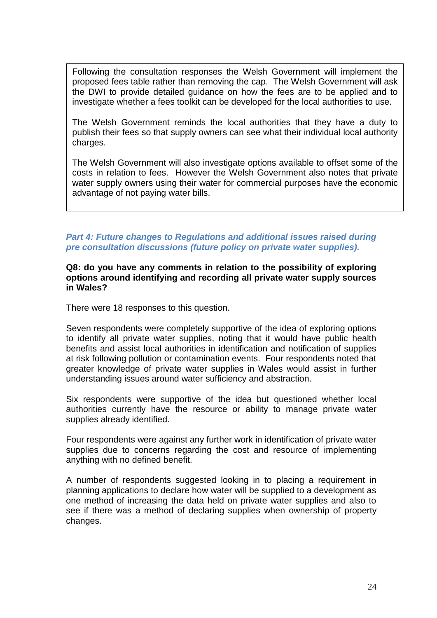Following the consultation responses the Welsh Government will implement the proposed fees table rather than removing the cap. The Welsh Government will ask the DWI to provide detailed guidance on how the fees are to be applied and to investigate whether a fees toolkit can be developed for the local authorities to use.

The Welsh Government reminds the local authorities that they have a duty to publish their fees so that supply owners can see what their individual local authority charges.

The Welsh Government will also investigate options available to offset some of the costs in relation to fees. However the Welsh Government also notes that private water supply owners using their water for commercial purposes have the economic advantage of not paying water bills.

## **Part 4: Future changes to Regulations and additional issues raised during** *pre consultation discussions (future policy on private water supplies).*

#### **Q8: do you have any comments in relation to the possibility of exploring options around identifying and recording all private water supply sources in Wales?**

There were 18 responses to this question.

Seven respondents were completely supportive of the idea of exploring options to identify all private water supplies, noting that it would have public health benefits and assist local authorities in identification and notification of supplies at risk following pollution or contamination events. Four respondents noted that greater knowledge of private water supplies in Wales would assist in further understanding issues around water sufficiency and abstraction.

Six respondents were supportive of the idea but questioned whether local authorities currently have the resource or ability to manage private water supplies already identified.

Four respondents were against any further work in identification of private water supplies due to concerns regarding the cost and resource of implementing anything with no defined benefit.

A number of respondents suggested looking in to placing a requirement in planning applications to declare how water will be supplied to a development as one method of increasing the data held on private water supplies and also to see if there was a method of declaring supplies when ownership of property changes.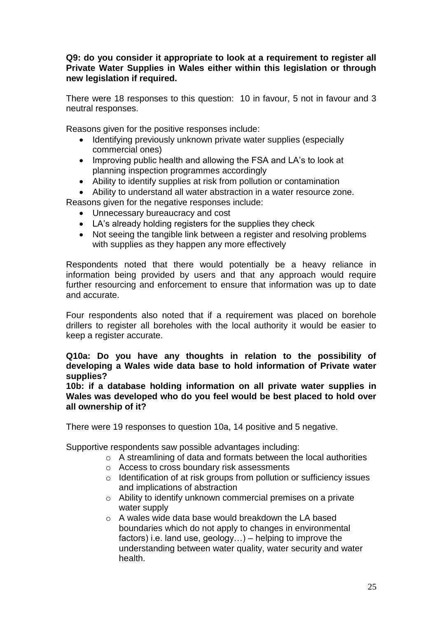#### **Q9: do you consider it appropriate to look at a requirement to register all Private Water Supplies in Wales either within this legislation or through new legislation if required.**

There were 18 responses to this question: 10 in favour, 5 not in favour and 3 neutral responses.

Reasons given for the positive responses include:

- Identifying previously unknown private water supplies (especially commercial ones)
- Improving public health and allowing the FSA and LA's to look at planning inspection programmes accordingly
- Ability to identify supplies at risk from pollution or contamination
- Ability to understand all water abstraction in a water resource zone.

Reasons given for the negative responses include:

- Unnecessary bureaucracy and cost
- LA's already holding registers for the supplies they check
- Not seeing the tangible link between a register and resolving problems with supplies as they happen any more effectively

Respondents noted that there would potentially be a heavy reliance in information being provided by users and that any approach would require further resourcing and enforcement to ensure that information was up to date and accurate.

Four respondents also noted that if a requirement was placed on borehole drillers to register all boreholes with the local authority it would be easier to keep a register accurate.

#### **Q10a: Do you have any thoughts in relation to the possibility of developing a Wales wide data base to hold information of Private water supplies?**

**10b: if a database holding information on all private water supplies in Wales was developed who do you feel would be best placed to hold over all ownership of it?**

There were 19 responses to question 10a, 14 positive and 5 negative.

Supportive respondents saw possible advantages including:

- o A streamlining of data and formats between the local authorities
- o Access to cross boundary risk assessments
- o Identification of at risk groups from pollution or sufficiency issues and implications of abstraction
- o Ability to identify unknown commercial premises on a private water supply
- o A wales wide data base would breakdown the LA based boundaries which do not apply to changes in environmental factors) i.e. land use, geology…) – helping to improve the understanding between water quality, water security and water health.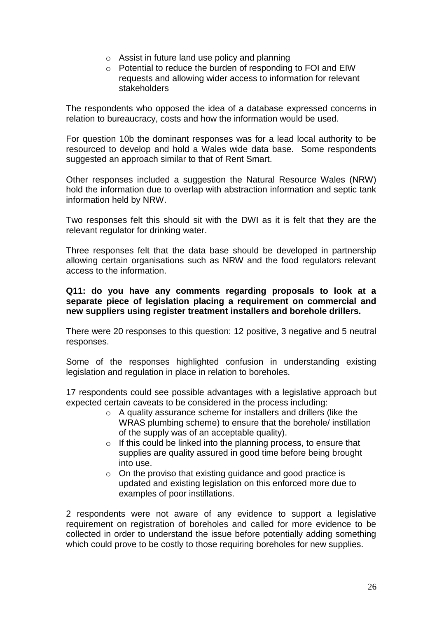- o Assist in future land use policy and planning
- o Potential to reduce the burden of responding to FOI and EIW requests and allowing wider access to information for relevant stakeholders

The respondents who opposed the idea of a database expressed concerns in relation to bureaucracy, costs and how the information would be used.

For question 10b the dominant responses was for a lead local authority to be resourced to develop and hold a Wales wide data base. Some respondents suggested an approach similar to that of Rent Smart.

Other responses included a suggestion the Natural Resource Wales (NRW) hold the information due to overlap with abstraction information and septic tank information held by NRW.

Two responses felt this should sit with the DWI as it is felt that they are the relevant regulator for drinking water.

Three responses felt that the data base should be developed in partnership allowing certain organisations such as NRW and the food regulators relevant access to the information.

#### **Q11: do you have any comments regarding proposals to look at a separate piece of legislation placing a requirement on commercial and new suppliers using register treatment installers and borehole drillers.**

There were 20 responses to this question: 12 positive, 3 negative and 5 neutral responses.

Some of the responses highlighted confusion in understanding existing legislation and regulation in place in relation to boreholes.

17 respondents could see possible advantages with a legislative approach but expected certain caveats to be considered in the process including:

- o A quality assurance scheme for installers and drillers (like the WRAS plumbing scheme) to ensure that the borehole/ instillation of the supply was of an acceptable quality).
- o If this could be linked into the planning process, to ensure that supplies are quality assured in good time before being brought into use.
- $\circ$  On the proviso that existing guidance and good practice is updated and existing legislation on this enforced more due to examples of poor instillations.

2 respondents were not aware of any evidence to support a legislative requirement on registration of boreholes and called for more evidence to be collected in order to understand the issue before potentially adding something which could prove to be costly to those requiring boreholes for new supplies.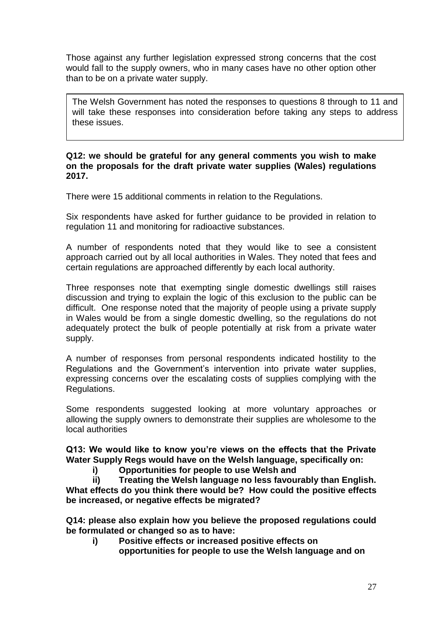Those against any further legislation expressed strong concerns that the cost would fall to the supply owners, who in many cases have no other option other than to be on a private water supply.

The Welsh Government has noted the responses to questions 8 through to 11 and will take these responses into consideration before taking any steps to address these issues.

#### **Q12: we should be grateful for any general comments you wish to make on the proposals for the draft private water supplies (Wales) regulations 2017.**

There were 15 additional comments in relation to the Regulations.

Six respondents have asked for further guidance to be provided in relation to regulation 11 and monitoring for radioactive substances.

A number of respondents noted that they would like to see a consistent approach carried out by all local authorities in Wales. They noted that fees and certain regulations are approached differently by each local authority.

Three responses note that exempting single domestic dwellings still raises discussion and trying to explain the logic of this exclusion to the public can be difficult. One response noted that the majority of people using a private supply in Wales would be from a single domestic dwelling, so the regulations do not adequately protect the bulk of people potentially at risk from a private water supply.

A number of responses from personal respondents indicated hostility to the Regulations and the Government's intervention into private water supplies, expressing concerns over the escalating costs of supplies complying with the Regulations.

Some respondents suggested looking at more voluntary approaches or allowing the supply owners to demonstrate their supplies are wholesome to the local authorities

**Q13: We would like to know you're views on the effects that the Private Water Supply Regs would have on the Welsh language, specifically on:**

**i) Opportunities for people to use Welsh and** 

**ii) Treating the Welsh language no less favourably than English. What effects do you think there would be? How could the positive effects be increased, or negative effects be migrated?**

**Q14: please also explain how you believe the proposed regulations could be formulated or changed so as to have:**

**i) Positive effects or increased positive effects on opportunities for people to use the Welsh language and on**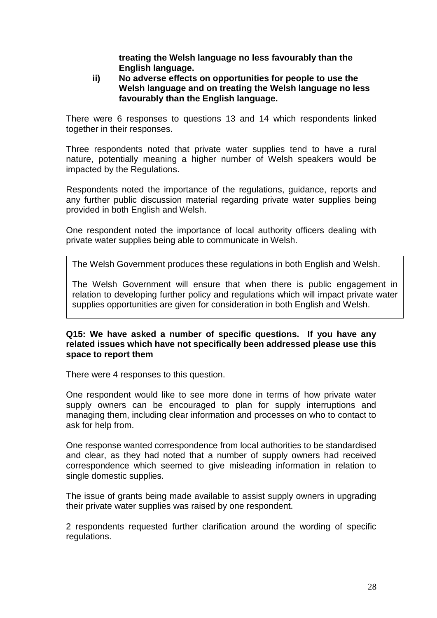**treating the Welsh language no less favourably than the English language.**

#### **ii) No adverse effects on opportunities for people to use the Welsh language and on treating the Welsh language no less favourably than the English language.**

There were 6 responses to questions 13 and 14 which respondents linked together in their responses.

Three respondents noted that private water supplies tend to have a rural nature, potentially meaning a higher number of Welsh speakers would be impacted by the Regulations.

Respondents noted the importance of the regulations, guidance, reports and any further public discussion material regarding private water supplies being provided in both English and Welsh.

One respondent noted the importance of local authority officers dealing with private water supplies being able to communicate in Welsh.

The Welsh Government produces these regulations in both English and Welsh.

The Welsh Government will ensure that when there is public engagement in relation to developing further policy and regulations which will impact private water supplies opportunities are given for consideration in both English and Welsh.

#### **Q15: We have asked a number of specific questions. If you have any related issues which have not specifically been addressed please use this space to report them**

There were 4 responses to this question.

One respondent would like to see more done in terms of how private water supply owners can be encouraged to plan for supply interruptions and managing them, including clear information and processes on who to contact to ask for help from.

One response wanted correspondence from local authorities to be standardised and clear, as they had noted that a number of supply owners had received correspondence which seemed to give misleading information in relation to single domestic supplies.

The issue of grants being made available to assist supply owners in upgrading their private water supplies was raised by one respondent.

2 respondents requested further clarification around the wording of specific regulations.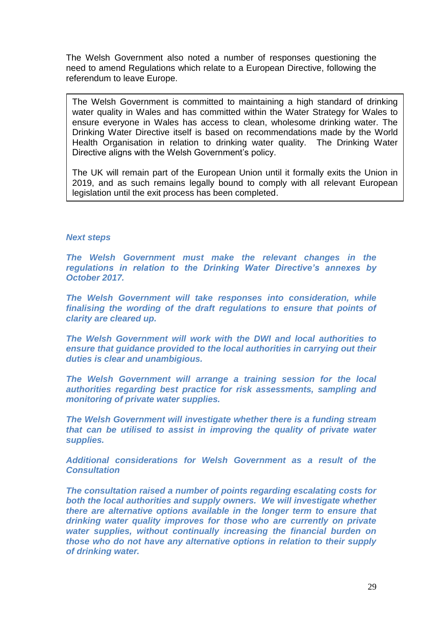The Welsh Government also noted a number of responses questioning the need to amend Regulations which relate to a European Directive, following the referendum to leave Europe.

The Welsh Government is committed to maintaining a high standard of drinking water quality in Wales and has committed within the Water Strategy for Wales to ensure everyone in Wales has access to clean, wholesome drinking water. The Drinking Water Directive itself is based on recommendations made by the World Health Organisation in relation to drinking water quality. The Drinking Water Directive aligns with the Welsh Government's policy.

The UK will remain part of the European Union until it formally exits the Union in 2019, and as such remains legally bound to comply with all relevant European legislation until the exit process has been completed.

#### *Next steps*

*The Welsh Government must make the relevant changes in the regulations in relation to the Drinking Water Directive's annexes by October 2017.*

*The Welsh Government will take responses into consideration, while finalising the wording of the draft regulations to ensure that points of clarity are cleared up.*

*The Welsh Government will work with the DWI and local authorities to ensure that guidance provided to the local authorities in carrying out their duties is clear and unambigious.*

*The Welsh Government will arrange a training session for the local authorities regarding best practice for risk assessments, sampling and monitoring of private water supplies.*

*The Welsh Government will investigate whether there is a funding stream that can be utilised to assist in improving the quality of private water supplies.*

*Additional considerations for Welsh Government as a result of the Consultation*

*The consultation raised a number of points regarding escalating costs for both the local authorities and supply owners. We will investigate whether there are alternative options available in the longer term to ensure that drinking water quality improves for those who are currently on private water supplies, without continually increasing the financial burden on those who do not have any alternative options in relation to their supply of drinking water.*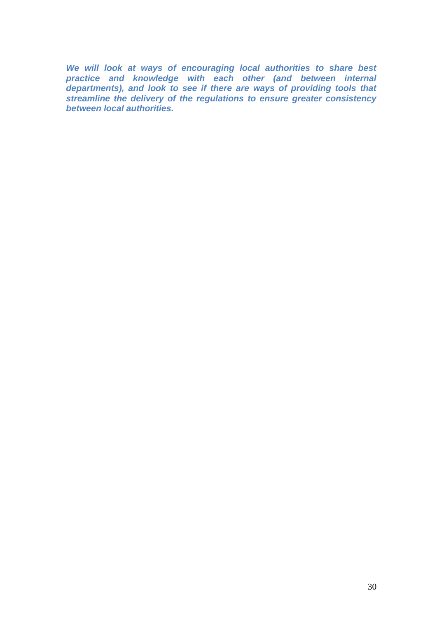*We will look at ways of encouraging local authorities to share best practice and knowledge with each other (and between internal departments), and look to see if there are ways of providing tools that streamline the delivery of the regulations to ensure greater consistency between local authorities.*